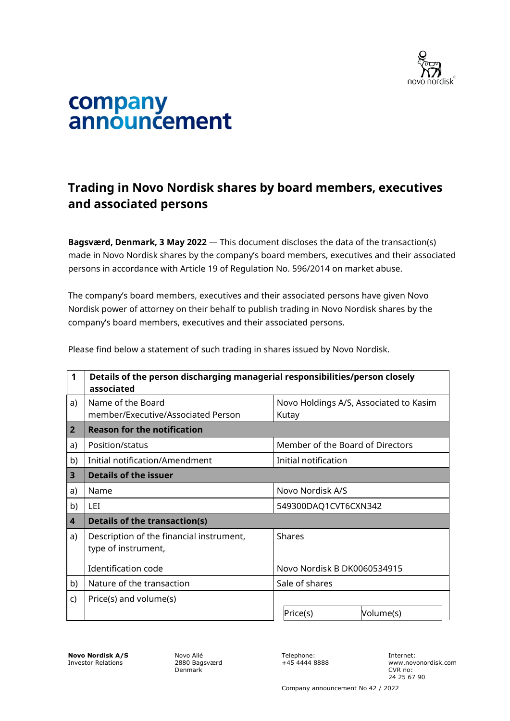

## company<br>announcement

## **Trading in Novo Nordisk shares by board members, executives and associated persons**

**Bagsværd, Denmark, 3 May 2022** — This document discloses the data of the transaction(s) made in Novo Nordisk shares by the company's board members, executives and their associated persons in accordance with Article 19 of Regulation No. 596/2014 on market abuse.

The company's board members, executives and their associated persons have given Novo Nordisk power of attorney on their behalf to publish trading in Novo Nordisk shares by the company's board members, executives and their associated persons.

| $\mathbf 1$             | Details of the person discharging managerial responsibilities/person closely<br>associated |                                        |
|-------------------------|--------------------------------------------------------------------------------------------|----------------------------------------|
| a)                      | Name of the Board                                                                          | Novo Holdings A/S, Associated to Kasim |
|                         | member/Executive/Associated Person                                                         | Kutay                                  |
| 2 <sup>2</sup>          | <b>Reason for the notification</b>                                                         |                                        |
| a)                      | Position/status                                                                            | Member of the Board of Directors       |
| b)                      | Initial notification/Amendment                                                             | Initial notification                   |
| $\overline{\mathbf{3}}$ | <b>Details of the issuer</b>                                                               |                                        |
| a)                      | Name                                                                                       | Novo Nordisk A/S                       |
| b)                      | LEI.                                                                                       | 549300DAQ1CVT6CXN342                   |
| $\overline{\mathbf{4}}$ | <b>Details of the transaction(s)</b>                                                       |                                        |
| a)                      | Description of the financial instrument,<br>type of instrument,                            | <b>Shares</b>                          |
|                         | Identification code                                                                        | Novo Nordisk B DK0060534915            |
| b)                      | Nature of the transaction                                                                  | Sale of shares                         |
| C)                      | Price(s) and volume(s)                                                                     |                                        |
|                         |                                                                                            | Price(s)<br>Volume(s)                  |

Please find below a statement of such trading in shares issued by Novo Nordisk.

**Novo Nordisk A/S** Investor Relations

Novo Allé 2880 Bagsværd Denmark

Telephone: +45 4444 8888 Internet: www.novonordisk.com CVR no: 24 25 67 90

Company announcement No 42 / 2022